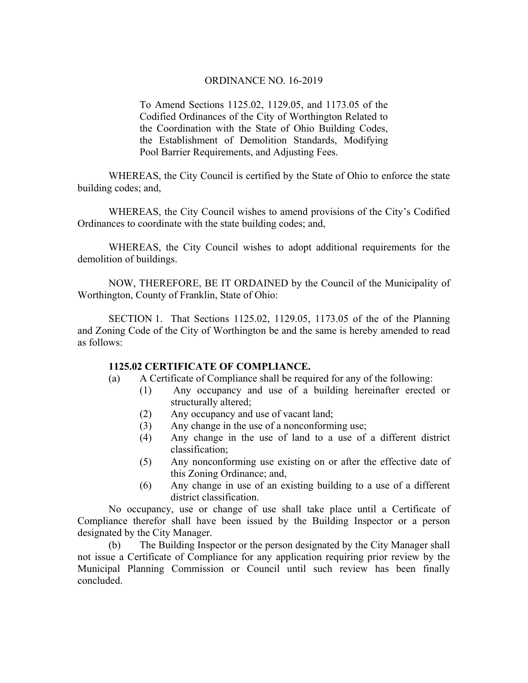To Amend Sections 1125.02, 1129.05, and 1173.05 of the Codified Ordinances of the City of Worthington Related to the Coordination with the State of Ohio Building Codes, the Establishment of Demolition Standards, Modifying Pool Barrier Requirements, and Adjusting Fees.

WHEREAS, the City Council is certified by the State of Ohio to enforce the state building codes; and,

 WHEREAS, the City Council wishes to amend provisions of the City's Codified Ordinances to coordinate with the state building codes; and,

WHEREAS, the City Council wishes to adopt additional requirements for the demolition of buildings.

NOW, THEREFORE, BE IT ORDAINED by the Council of the Municipality of Worthington, County of Franklin, State of Ohio:

SECTION 1. That Sections 1125.02, 1129.05, 1173.05 of the of the Planning and Zoning Code of the City of Worthington be and the same is hereby amended to read as follows:

#### **1125.02 CERTIFICATE OF COMPLIANCE.**

- (a) A Certificate of Compliance shall be required for any of the following:
	- (1) Any occupancy and use of a building hereinafter erected or structurally altered;
	- (2) Any occupancy and use of vacant land;
	- (3) Any change in the use of a nonconforming use;
	- (4) Any change in the use of land to a use of a different district classification;
	- (5) Any nonconforming use existing on or after the effective date of this Zoning Ordinance; and,
	- (6) Any change in use of an existing building to a use of a different district classification.

No occupancy, use or change of use shall take place until a Certificate of Compliance therefor shall have been issued by the Building Inspector or a person designated by the City Manager.

(b) The Building Inspector or the person designated by the City Manager shall not issue a Certificate of Compliance for any application requiring prior review by the Municipal Planning Commission or Council until such review has been finally concluded.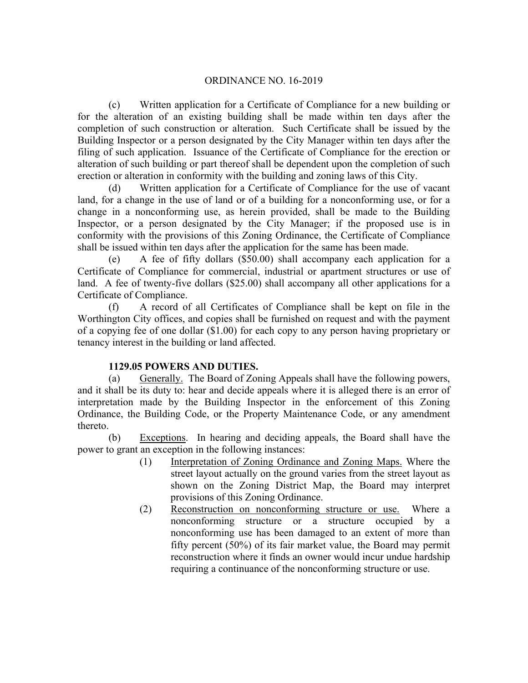(c) Written application for a Certificate of Compliance for a new building or for the alteration of an existing building shall be made within ten days after the completion of such construction or alteration. Such Certificate shall be issued by the Building Inspector or a person designated by the City Manager within ten days after the filing of such application. Issuance of the Certificate of Compliance for the erection or alteration of such building or part thereof shall be dependent upon the completion of such erection or alteration in conformity with the building and zoning laws of this City.

(d) Written application for a Certificate of Compliance for the use of vacant land, for a change in the use of land or of a building for a nonconforming use, or for a change in a nonconforming use, as herein provided, shall be made to the Building Inspector, or a person designated by the City Manager; if the proposed use is in conformity with the provisions of this Zoning Ordinance, the Certificate of Compliance shall be issued within ten days after the application for the same has been made.

(e) A fee of fifty dollars (\$50.00) shall accompany each application for a Certificate of Compliance for commercial, industrial or apartment structures or use of land. A fee of twenty-five dollars (\$25.00) shall accompany all other applications for a Certificate of Compliance.

(f) A record of all Certificates of Compliance shall be kept on file in the Worthington City offices, and copies shall be furnished on request and with the payment of a copying fee of one dollar (\$1.00) for each copy to any person having proprietary or tenancy interest in the building or land affected.

# **1129.05 POWERS AND DUTIES.**

(a) Generally. The Board of Zoning Appeals shall have the following powers, and it shall be its duty to: hear and decide appeals where it is alleged there is an error of interpretation made by the Building Inspector in the enforcement of this Zoning Ordinance, the Building Code, or the Property Maintenance Code, or any amendment thereto.

(b) Exceptions. In hearing and deciding appeals, the Board shall have the power to grant an exception in the following instances:

- (1) Interpretation of Zoning Ordinance and Zoning Maps. Where the street layout actually on the ground varies from the street layout as shown on the Zoning District Map, the Board may interpret provisions of this Zoning Ordinance.
- (2) Reconstruction on nonconforming structure or use. Where a nonconforming structure or a structure occupied by a nonconforming use has been damaged to an extent of more than fifty percent (50%) of its fair market value, the Board may permit reconstruction where it finds an owner would incur undue hardship requiring a continuance of the nonconforming structure or use.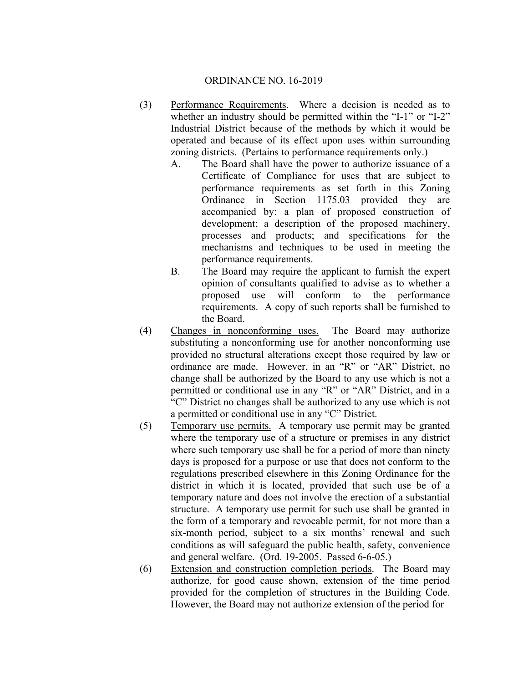- (3) Performance Requirements. Where a decision is needed as to whether an industry should be permitted within the "I-1" or "I-2" Industrial District because of the methods by which it would be operated and because of its effect upon uses within surrounding zoning districts. (Pertains to performance requirements only.)
	- A. The Board shall have the power to authorize issuance of a Certificate of Compliance for uses that are subject to performance requirements as set forth in this Zoning Ordinance in Section 1175.03 provided they are accompanied by: a plan of proposed construction of development; a description of the proposed machinery, processes and products; and specifications for the mechanisms and techniques to be used in meeting the performance requirements.
	- B. The Board may require the applicant to furnish the expert opinion of consultants qualified to advise as to whether a proposed use will conform to the performance requirements. A copy of such reports shall be furnished to the Board.
- (4) Changes in nonconforming uses. The Board may authorize substituting a nonconforming use for another nonconforming use provided no structural alterations except those required by law or ordinance are made. However, in an "R" or "AR" District, no change shall be authorized by the Board to any use which is not a permitted or conditional use in any "R" or "AR" District, and in a "C" District no changes shall be authorized to any use which is not a permitted or conditional use in any "C" District.
- (5) Temporary use permits. A temporary use permit may be granted where the temporary use of a structure or premises in any district where such temporary use shall be for a period of more than ninety days is proposed for a purpose or use that does not conform to the regulations prescribed elsewhere in this Zoning Ordinance for the district in which it is located, provided that such use be of a temporary nature and does not involve the erection of a substantial structure. A temporary use permit for such use shall be granted in the form of a temporary and revocable permit, for not more than a six-month period, subject to a six months' renewal and such conditions as will safeguard the public health, safety, convenience and general welfare. (Ord. 19-2005. Passed 6-6-05.)
- (6) Extension and construction completion periods. The Board may authorize, for good cause shown, extension of the time period provided for the completion of structures in the Building Code. However, the Board may not authorize extension of the period for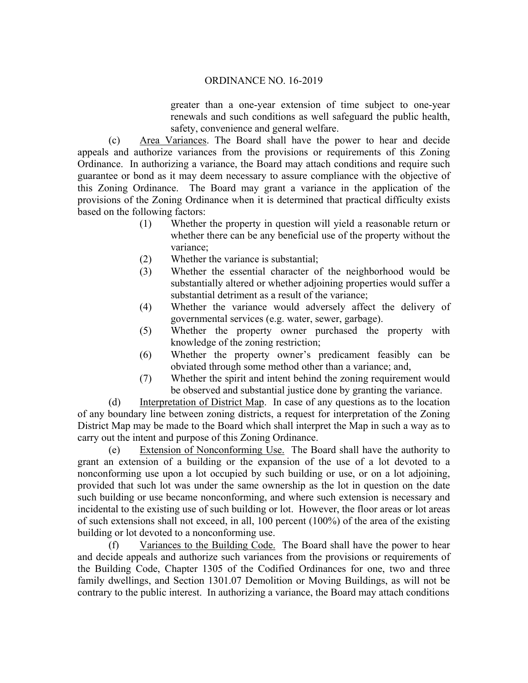greater than a one-year extension of time subject to one-year renewals and such conditions as well safeguard the public health, safety, convenience and general welfare.

(c) Area Variances. The Board shall have the power to hear and decide appeals and authorize variances from the provisions or requirements of this Zoning Ordinance. In authorizing a variance, the Board may attach conditions and require such guarantee or bond as it may deem necessary to assure compliance with the objective of this Zoning Ordinance. The Board may grant a variance in the application of the provisions of the Zoning Ordinance when it is determined that practical difficulty exists based on the following factors:

- (1) Whether the property in question will yield a reasonable return or whether there can be any beneficial use of the property without the variance;
- (2) Whether the variance is substantial;
- (3) Whether the essential character of the neighborhood would be substantially altered or whether adjoining properties would suffer a substantial detriment as a result of the variance;
- (4) Whether the variance would adversely affect the delivery of governmental services (e.g. water, sewer, garbage).
- (5) Whether the property owner purchased the property with knowledge of the zoning restriction;
- (6) Whether the property owner's predicament feasibly can be obviated through some method other than a variance; and,
- (7) Whether the spirit and intent behind the zoning requirement would be observed and substantial justice done by granting the variance.

(d) Interpretation of District Map. In case of any questions as to the location of any boundary line between zoning districts, a request for interpretation of the Zoning District Map may be made to the Board which shall interpret the Map in such a way as to carry out the intent and purpose of this Zoning Ordinance.

(e) Extension of Nonconforming Use. The Board shall have the authority to grant an extension of a building or the expansion of the use of a lot devoted to a nonconforming use upon a lot occupied by such building or use, or on a lot adjoining, provided that such lot was under the same ownership as the lot in question on the date such building or use became nonconforming, and where such extension is necessary and incidental to the existing use of such building or lot. However, the floor areas or lot areas of such extensions shall not exceed, in all, 100 percent (100%) of the area of the existing building or lot devoted to a nonconforming use.

(f) Variances to the Building Code. The Board shall have the power to hear and decide appeals and authorize such variances from the provisions or requirements of the Building Code, Chapter 1305 of the Codified Ordinances for one, two and three family dwellings, and Section 1301.07 Demolition or Moving Buildings, as will not be contrary to the public interest. In authorizing a variance, the Board may attach conditions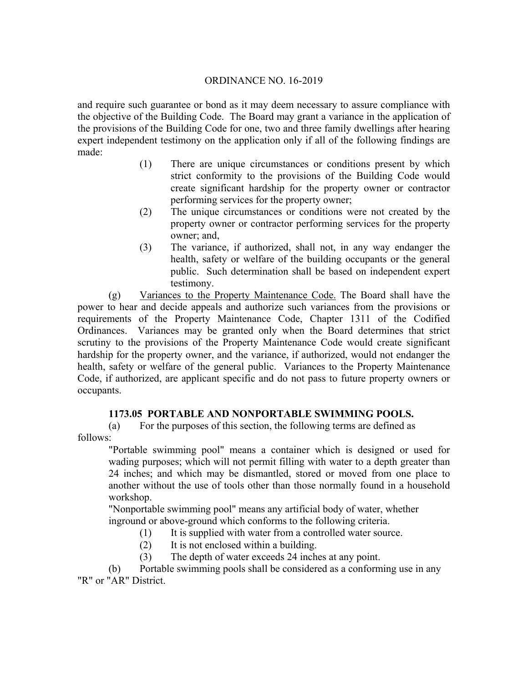and require such guarantee or bond as it may deem necessary to assure compliance with the objective of the Building Code. The Board may grant a variance in the application of the provisions of the Building Code for one, two and three family dwellings after hearing expert independent testimony on the application only if all of the following findings are made:

- (1) There are unique circumstances or conditions present by which strict conformity to the provisions of the Building Code would create significant hardship for the property owner or contractor performing services for the property owner;
- (2) The unique circumstances or conditions were not created by the property owner or contractor performing services for the property owner; and,
- (3) The variance, if authorized, shall not, in any way endanger the health, safety or welfare of the building occupants or the general public. Such determination shall be based on independent expert testimony.

(g) Variances to the Property Maintenance Code. The Board shall have the power to hear and decide appeals and authorize such variances from the provisions or requirements of the Property Maintenance Code, Chapter 1311 of the Codified Ordinances. Variances may be granted only when the Board determines that strict scrutiny to the provisions of the Property Maintenance Code would create significant hardship for the property owner, and the variance, if authorized, would not endanger the health, safety or welfare of the general public. Variances to the Property Maintenance Code, if authorized, are applicant specific and do not pass to future property owners or occupants.

# **1173.05 PORTABLE AND NONPORTABLE SWIMMING POOLS.**

(a) For the purposes of this section, the following terms are defined as follows:

"Portable swimming pool" means a container which is designed or used for wading purposes; which will not permit filling with water to a depth greater than 24 inches; and which may be dismantled, stored or moved from one place to another without the use of tools other than those normally found in a household workshop.

"Nonportable swimming pool" means any artificial body of water, whether inground or above-ground which conforms to the following criteria.

- (1) It is supplied with water from a controlled water source.
- (2) It is not enclosed within a building.
- (3) The depth of water exceeds 24 inches at any point.

(b) Portable swimming pools shall be considered as a conforming use in any "R" or "AR" District.